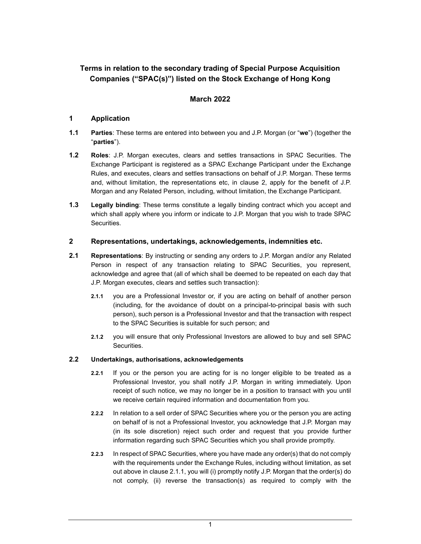# Terms in relation to the secondary trading of Special Purpose Acquisition Companies ("SPAC(s)") listed on the Stock Exchange of Hong Kong

## March 2022

## 1 Application

- 1.1 Parties: These terms are entered into between you and J.P. Morgan (or "we") (together the "parties").
- 1.2 Roles: J.P. Morgan executes, clears and settles transactions in SPAC Securities. The Exchange Participant is registered as a SPAC Exchange Participant under the Exchange Rules, and executes, clears and settles transactions on behalf of J.P. Morgan. These terms and, without limitation, the representations etc, in clause 2, apply for the benefit of J.P. Morgan and any Related Person, including, without limitation, the Exchange Participant.
- 1.3 Legally binding: These terms constitute a legally binding contract which you accept and which shall apply where you inform or indicate to J.P. Morgan that you wish to trade SPAC Securities.

### 2 Representations, undertakings, acknowledgements, indemnities etc.

- 2.1 Representations: By instructing or sending any orders to J.P. Morgan and/or any Related Person in respect of any transaction relating to SPAC Securities, you represent, acknowledge and agree that (all of which shall be deemed to be repeated on each day that J.P. Morgan executes, clears and settles such transaction):
	- 2.1.1 you are a Professional Investor or, if you are acting on behalf of another person (including, for the avoidance of doubt on a principal-to-principal basis with such person), such person is a Professional Investor and that the transaction with respect to the SPAC Securities is suitable for such person; and
	- 2.1.2 you will ensure that only Professional Investors are allowed to buy and sell SPAC **Securities**

### 2.2 Undertakings, authorisations, acknowledgements

- 2.2.1 If you or the person you are acting for is no longer eligible to be treated as a Professional Investor, you shall notify J.P. Morgan in writing immediately. Upon receipt of such notice, we may no longer be in a position to transact with you until we receive certain required information and documentation from you.
- 2.2.2 In relation to a sell order of SPAC Securities where you or the person you are acting on behalf of is not a Professional Investor, you acknowledge that J.P. Morgan may (in its sole discretion) reject such order and request that you provide further information regarding such SPAC Securities which you shall provide promptly.
- 2.2.3 In respect of SPAC Securities, where you have made any order(s) that do not comply with the requirements under the Exchange Rules, including without limitation, as set out above in clause 2.1.1, you will (i) promptly notify J.P. Morgan that the order(s) do not comply, (ii) reverse the transaction(s) as required to comply with the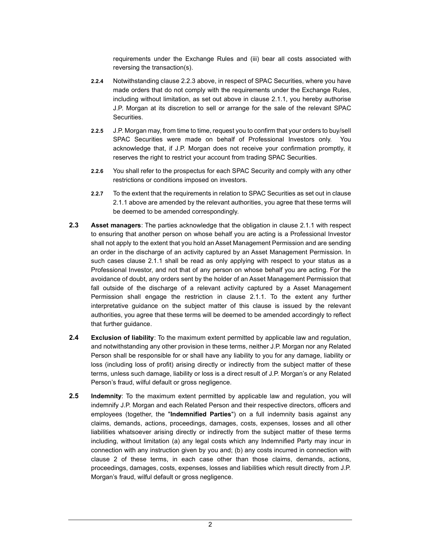requirements under the Exchange Rules and (iii) bear all costs associated with reversing the transaction(s).

- 2.2.4 Notwithstanding clause 2.2.3 above, in respect of SPAC Securities, where you have made orders that do not comply with the requirements under the Exchange Rules, including without limitation, as set out above in clause 2.1.1, you hereby authorise J.P. Morgan at its discretion to sell or arrange for the sale of the relevant SPAC Securities.
- 2.2.5 J.P. Morgan may, from time to time, request you to confirm that your orders to buy/sell SPAC Securities were made on behalf of Professional Investors only. You acknowledge that, if J.P. Morgan does not receive your confirmation promptly, it reserves the right to restrict your account from trading SPAC Securities.
- 2.2.6 You shall refer to the prospectus for each SPAC Security and comply with any other restrictions or conditions imposed on investors.
- 2.2.7 To the extent that the requirements in relation to SPAC Securities as set out in clause 2.1.1 above are amended by the relevant authorities, you agree that these terms will be deemed to be amended correspondingly.
- 2.3 Asset managers: The parties acknowledge that the obligation in clause 2.1.1 with respect to ensuring that another person on whose behalf you are acting is a Professional Investor shall not apply to the extent that you hold an Asset Management Permission and are sending an order in the discharge of an activity captured by an Asset Management Permission. In such cases clause 2.1.1 shall be read as only applying with respect to your status as a Professional Investor, and not that of any person on whose behalf you are acting. For the avoidance of doubt, any orders sent by the holder of an Asset Management Permission that fall outside of the discharge of a relevant activity captured by a Asset Management Permission shall engage the restriction in clause 2.1.1. To the extent any further interpretative guidance on the subject matter of this clause is issued by the relevant authorities, you agree that these terms will be deemed to be amended accordingly to reflect that further guidance.
- 2.4 Exclusion of liability: To the maximum extent permitted by applicable law and regulation, and notwithstanding any other provision in these terms, neither J.P. Morgan nor any Related Person shall be responsible for or shall have any liability to you for any damage, liability or loss (including loss of profit) arising directly or indirectly from the subject matter of these terms, unless such damage, liability or loss is a direct result of J.P. Morgan's or any Related Person's fraud, wilful default or gross negligence.
- 2.5 Indemnity: To the maximum extent permitted by applicable law and regulation, you will indemnify J.P. Morgan and each Related Person and their respective directors, officers and employees (together, the "Indemnified Parties") on a full indemnity basis against any claims, demands, actions, proceedings, damages, costs, expenses, losses and all other liabilities whatsoever arising directly or indirectly from the subject matter of these terms including, without limitation (a) any legal costs which any Indemnified Party may incur in connection with any instruction given by you and; (b) any costs incurred in connection with clause 2 of these terms, in each case other than those claims, demands, actions, proceedings, damages, costs, expenses, losses and liabilities which result directly from J.P. Morgan's fraud, wilful default or gross negligence.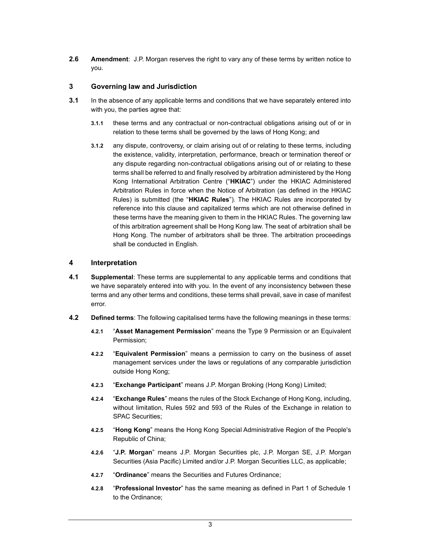2.6 Amendment: J.P. Morgan reserves the right to vary any of these terms by written notice to you.

### 3 Governing law and Jurisdiction

- **3.1** In the absence of any applicable terms and conditions that we have separately entered into with you, the parties agree that:
	- 3.1.1 these terms and any contractual or non-contractual obligations arising out of or in relation to these terms shall be governed by the laws of Hong Kong; and
	- 3.1.2 any dispute, controversy, or claim arising out of or relating to these terms, including the existence, validity, interpretation, performance, breach or termination thereof or any dispute regarding non-contractual obligations arising out of or relating to these terms shall be referred to and finally resolved by arbitration administered by the Hong Kong International Arbitration Centre ("HKIAC") under the HKIAC Administered Arbitration Rules in force when the Notice of Arbitration (as defined in the HKIAC Rules) is submitted (the "HKIAC Rules"). The HKIAC Rules are incorporated by reference into this clause and capitalized terms which are not otherwise defined in these terms have the meaning given to them in the HKIAC Rules. The governing law of this arbitration agreement shall be Hong Kong law. The seat of arbitration shall be Hong Kong. The number of arbitrators shall be three. The arbitration proceedings shall be conducted in English.

#### 4 Interpretation

- 4.1 Supplemental: These terms are supplemental to any applicable terms and conditions that we have separately entered into with you. In the event of any inconsistency between these terms and any other terms and conditions, these terms shall prevail, save in case of manifest error.
- **4.2** Defined terms: The following capitalised terms have the following meanings in these terms:
	- 4.2.1 "Asset Management Permission" means the Type 9 Permission or an Equivalent Permission;
	- 4.2.2 "Equivalent Permission" means a permission to carry on the business of asset management services under the laws or regulations of any comparable jurisdiction outside Hong Kong;
	- 4.2.3 "Exchange Participant" means J.P. Morgan Broking (Hong Kong) Limited;
	- 4.2.4 "Exchange Rules" means the rules of the Stock Exchange of Hong Kong, including, without limitation, Rules 592 and 593 of the Rules of the Exchange in relation to SPAC Securities;
	- 4.2.5 "Hong Kong" means the Hong Kong Special Administrative Region of the People's Republic of China;
	- 4.2.6 "J.P. Morgan" means J.P. Morgan Securities plc, J.P. Morgan SE, J.P. Morgan Securities (Asia Pacific) Limited and/or J.P. Morgan Securities LLC, as applicable;
	- 4.2.7 "Ordinance" means the Securities and Futures Ordinance:
	- 4.2.8 "Professional Investor" has the same meaning as defined in Part 1 of Schedule 1 to the Ordinance;